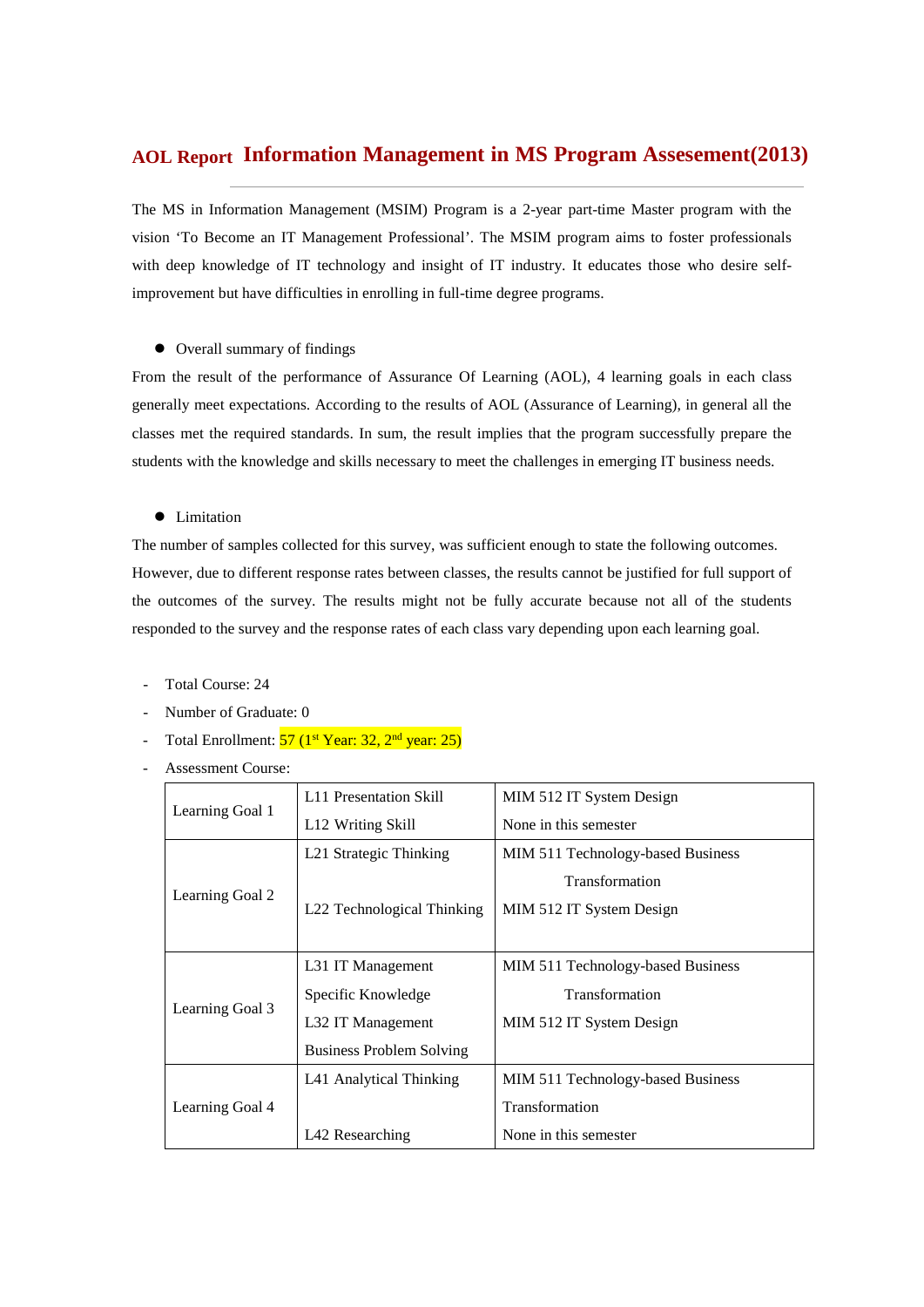# **Information Management in MS Program Assesement(2013) AOL Report**

The MS in Information Management (MSIM) Program is a 2-year part-time Master program with the vision 'To Become an IT Management Professional'. The MSIM program aims to foster professionals with deep knowledge of IT technology and insight of IT industry. It educates those who desire selfimprovement but have difficulties in enrolling in full-time degree programs.

 $\bullet$  Overall summary of findings

From the result of the performance of Assurance Of Learning (AOL), 4 learning goals in each class generally meet expectations. According to the results of AOL (Assurance of Learning), in general all the classes met the required standards. In sum, the result implies that the program successfully prepare the students with the knowledge and skills necessary to meet the challenges in emerging IT business needs.

**•** Limitation

The number of samples collected for this survey, was sufficient enough to state the following outcomes. However, due to different response rates between classes, the results cannot be justified for full support of the outcomes of the survey. The results might not be fully accurate because not all of the students responded to the survey and the response rates of each class vary depending upon each learning goal.

- Total Course: 24
- Number of Graduate: 0
- Total Enrollment:  $57 (1^{st} \text{ Year: } 32, 2^{nd} \text{ year: } 25)$
- Assessment Course:

|                 | L11 Presentation Skill          | MIM 512 IT System Design          |
|-----------------|---------------------------------|-----------------------------------|
| Learning Goal 1 | L <sub>12</sub> Writing Skill   | None in this semester             |
|                 | L21 Strategic Thinking          | MIM 511 Technology-based Business |
|                 |                                 | <b>Transformation</b>             |
| Learning Goal 2 | L22 Technological Thinking      | MIM 512 IT System Design          |
|                 |                                 |                                   |
|                 | L31 IT Management               | MIM 511 Technology-based Business |
| Learning Goal 3 | Specific Knowledge              | Transformation                    |
|                 | L32 IT Management               | MIM 512 IT System Design          |
|                 | <b>Business Problem Solving</b> |                                   |
|                 | L41 Analytical Thinking         | MIM 511 Technology-based Business |
| Learning Goal 4 |                                 | Transformation                    |
|                 | L42 Researching                 | None in this semester             |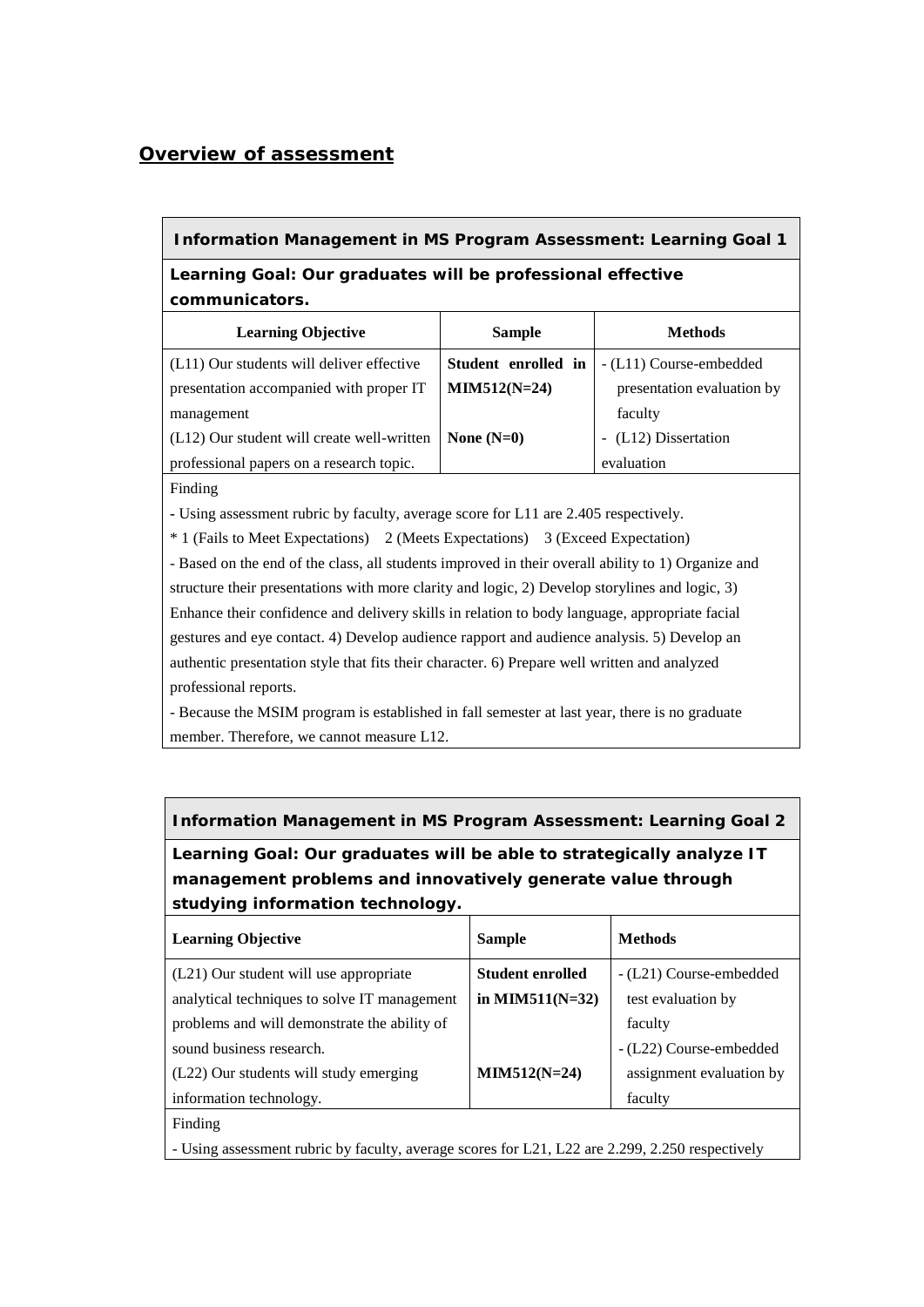# *Overview of assessment*

## **Information Management in MS Program Assessment: Learning Goal 1**

# **Learning Goal: Our graduates will be professional effective communicators.**

| <b>Learning Objective</b>                  | <b>Sample</b>       | <b>Methods</b>             |
|--------------------------------------------|---------------------|----------------------------|
| (L11) Our students will deliver effective  | Student enrolled in | - (L11) Course-embedded    |
| presentation accompanied with proper IT    | $MIN512(N=24)$      | presentation evaluation by |
| management                                 |                     | faculty                    |
| (L12) Our student will create well-written | None $(N=0)$        | - (L12) Dissertation       |
| professional papers on a research topic.   |                     | evaluation                 |

Finding

**-** Using assessment rubric by faculty, average score for L11 are 2.405 respectively.

\* 1 (Fails to Meet Expectations) 2 (Meets Expectations) 3 (Exceed Expectation)

- Based on the end of the class, all students improved in their overall ability to 1) Organize and structure their presentations with more clarity and logic, 2) Develop storylines and logic, 3) Enhance their confidence and delivery skills in relation to body language, appropriate facial gestures and eye contact. 4) Develop audience rapport and audience analysis. 5) Develop an authentic presentation style that fits their character. 6) Prepare well written and analyzed professional reports.

- Because the MSIM program is established in fall semester at last year, there is no graduate member. Therefore, we cannot measure L12.

## **Information Management in MS Program Assessment: Learning Goal 2**

**Learning Goal: Our graduates will be able to strategically analyze IT management problems and innovatively generate value through studying information technology.** 

| <b>Learning Objective</b>                                                                       | <b>Sample</b>           | <b>Methods</b>           |
|-------------------------------------------------------------------------------------------------|-------------------------|--------------------------|
| (L21) Our student will use appropriate                                                          | <b>Student enrolled</b> | - (L21) Course-embedded  |
| analytical techniques to solve IT management                                                    | in MIM511( $N=32$ )     | test evaluation by       |
| problems and will demonstrate the ability of                                                    |                         | faculty                  |
| sound business research.                                                                        |                         | - (L22) Course-embedded  |
| (L22) Our students will study emerging                                                          | $MIM512(N=24)$          | assignment evaluation by |
| information technology.                                                                         |                         | faculty                  |
| Finding                                                                                         |                         |                          |
| - Using assessment rubric by faculty, average scores for L21, L22 are 2.299, 2.250 respectively |                         |                          |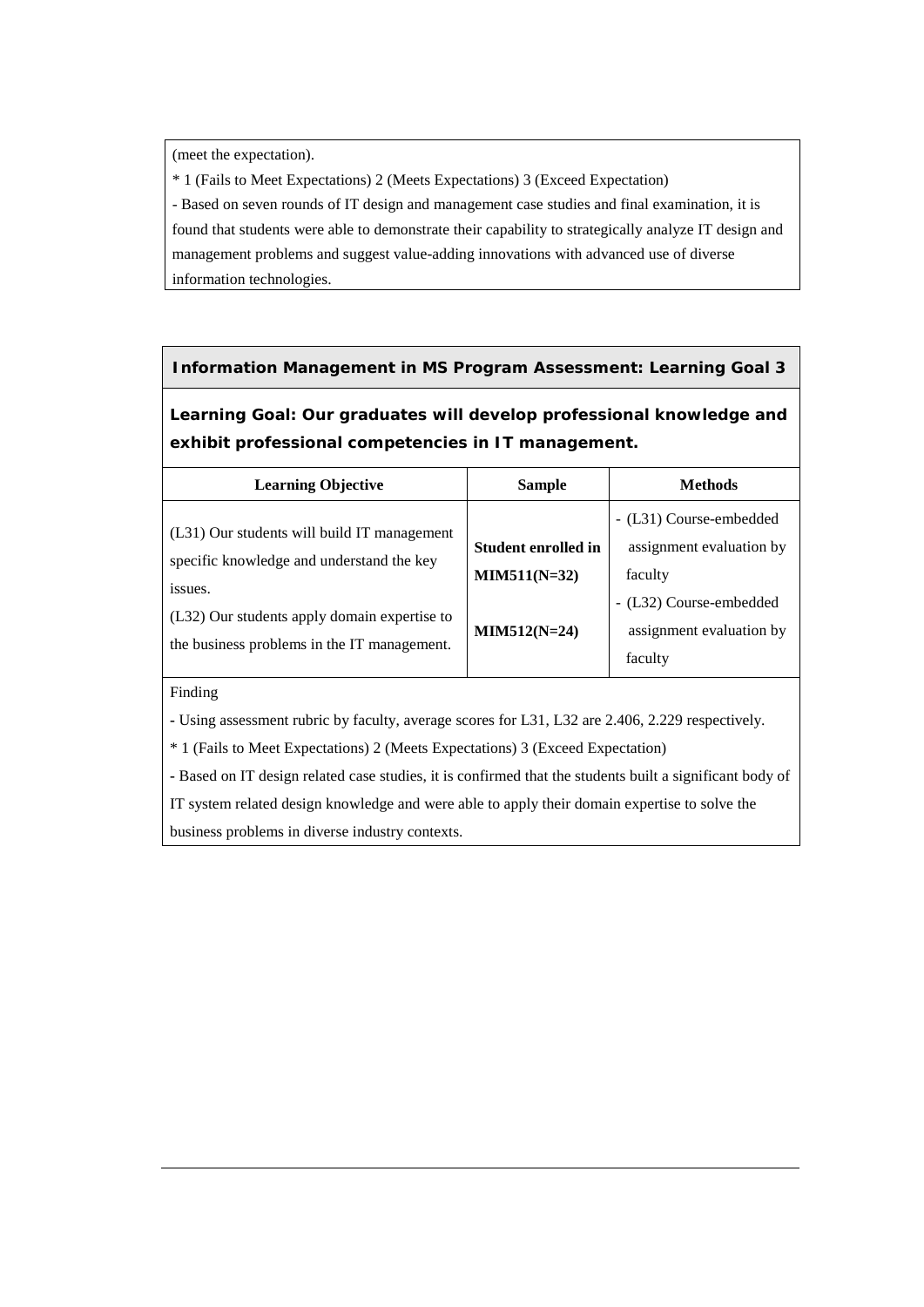(meet the expectation).

\* 1 (Fails to Meet Expectations) 2 (Meets Expectations) 3 (Exceed Expectation)

- Based on seven rounds of IT design and management case studies and final examination, it is found that students were able to demonstrate their capability to strategically analyze IT design and management problems and suggest value-adding innovations with advanced use of diverse information technologies.

## **Information Management in MS Program Assessment: Learning Goal 3**

**Learning Goal: Our graduates will develop professional knowledge and exhibit professional competencies in IT management.**

| <b>Learning Objective</b>                                                                | <b>Sample</b>              | <b>Methods</b>           |
|------------------------------------------------------------------------------------------|----------------------------|--------------------------|
|                                                                                          |                            | - (L31) Course-embedded  |
| (L31) Our students will build IT management<br>specific knowledge and understand the key | <b>Student enrolled in</b> | assignment evaluation by |
| issues.                                                                                  | $MIN511(N=32)$             | faculty                  |
| (L32) Our students apply domain expertise to                                             |                            | - (L32) Course-embedded  |
|                                                                                          | $MIN512(N=24)$             | assignment evaluation by |
| the business problems in the IT management.                                              |                            | faculty                  |

### Finding

**-** Using assessment rubric by faculty, average scores for L31, L32 are 2.406, 2.229 respectively.

\* 1 (Fails to Meet Expectations) 2 (Meets Expectations) 3 (Exceed Expectation)

**-** Based on IT design related case studies, it is confirmed that the students built a significant body of IT system related design knowledge and were able to apply their domain expertise to solve the business problems in diverse industry contexts.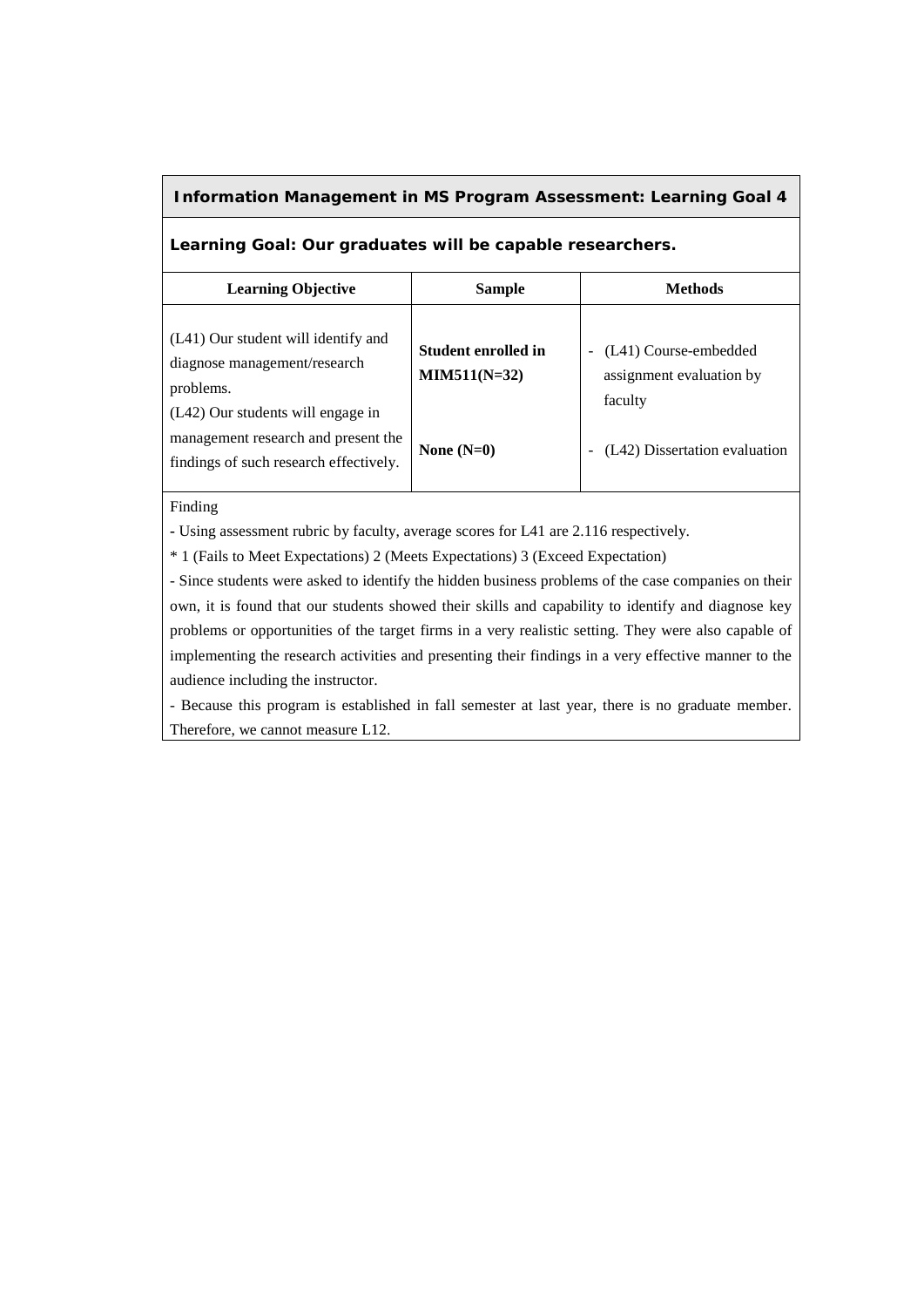### **Information Management in MS Program Assessment: Learning Goal 4**

### **Learning Goal: Our graduates will be capable researchers.**

| <b>Learning Objective</b>                                                                                             | <b>Sample</b>                         | <b>Methods</b>                                               |
|-----------------------------------------------------------------------------------------------------------------------|---------------------------------------|--------------------------------------------------------------|
| (L41) Our student will identify and<br>diagnose management/research<br>problems.<br>(L42) Our students will engage in | Student enrolled in<br>$MIN511(N=32)$ | (L41) Course-embedded<br>assignment evaluation by<br>faculty |
| management research and present the<br>findings of such research effectively.                                         | None $(N=0)$                          | (L42) Dissertation evaluation                                |

Finding

**-** Using assessment rubric by faculty, average scores for L41 are 2.116 respectively.

\* 1 (Fails to Meet Expectations) 2 (Meets Expectations) 3 (Exceed Expectation)

- Since students were asked to identify the hidden business problems of the case companies on their own, it is found that our students showed their skills and capability to identify and diagnose key problems or opportunities of the target firms in a very realistic setting. They were also capable of implementing the research activities and presenting their findings in a very effective manner to the audience including the instructor.

- Because this program is established in fall semester at last year, there is no graduate member. Therefore, we cannot measure L12.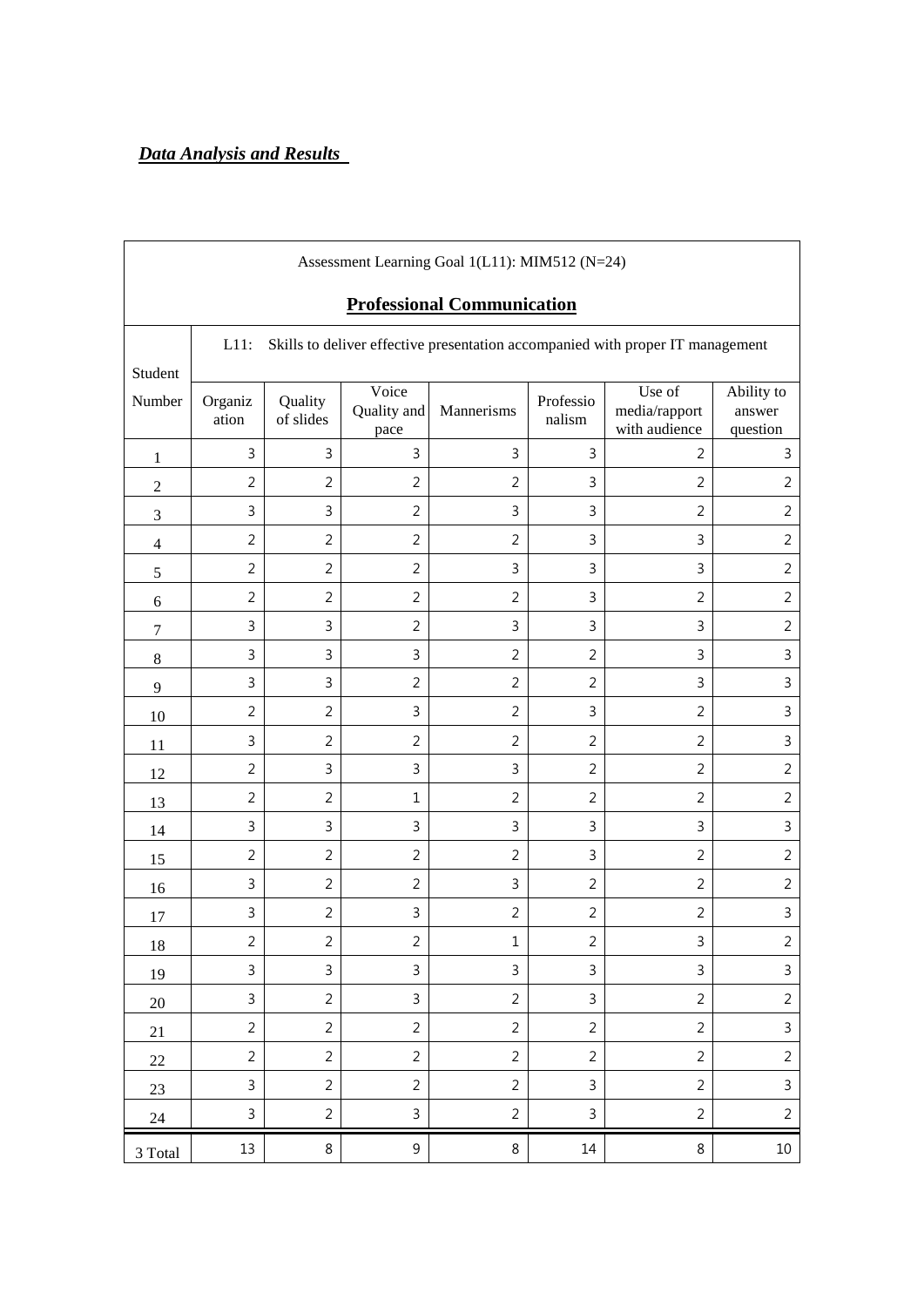|                          |                  |                      |                              | Assessment Learning Goal 1(L11): MIM512 (N=24)<br><b>Professional Communication</b> |                     |                                                                                |                                  |
|--------------------------|------------------|----------------------|------------------------------|-------------------------------------------------------------------------------------|---------------------|--------------------------------------------------------------------------------|----------------------------------|
| Student                  | $L11$ :          |                      |                              |                                                                                     |                     | Skills to deliver effective presentation accompanied with proper IT management |                                  |
| Number                   | Organiz<br>ation | Quality<br>of slides | Voice<br>Quality and<br>pace | Mannerisms                                                                          | Professio<br>nalism | Use of<br>media/rapport<br>with audience                                       | Ability to<br>answer<br>question |
| $\mathbf{1}$             | $\mathsf{3}$     | 3                    | $\mathsf 3$                  | 3                                                                                   | 3                   | 2                                                                              | 3                                |
| $\mathbf{2}$             | $\overline{2}$   | $\overline{2}$       | $\overline{2}$               | $\overline{2}$                                                                      | 3                   | $\overline{2}$                                                                 | $\overline{2}$                   |
| 3                        | $\mathbf{3}$     | 3                    | $\overline{2}$               | 3                                                                                   | 3                   | $\overline{2}$                                                                 | $\overline{2}$                   |
| $\overline{\mathcal{L}}$ | $\overline{2}$   | $\overline{2}$       | $\overline{2}$               | $\overline{2}$                                                                      | 3                   | 3                                                                              | $\overline{2}$                   |
| $\mathfrak s$            | $\overline{2}$   | $\overline{2}$       | $\overline{2}$               | 3                                                                                   | $\mathbf{3}$        | 3                                                                              | $\overline{2}$                   |
| $\boldsymbol{6}$         | $\overline{2}$   | $\overline{2}$       | $\overline{2}$               | $\overline{2}$                                                                      | 3                   | $\overline{2}$                                                                 | $\overline{2}$                   |
| $\tau$                   | $\mathsf 3$      | 3                    | $\overline{2}$               | 3                                                                                   | $\mathsf{3}$        | 3                                                                              | $\overline{2}$                   |
| $\,8\,$                  | 3                | 3                    | 3                            | $\overline{2}$                                                                      | $\overline{2}$      | 3                                                                              | 3                                |
| $\overline{9}$           | $\mathsf{3}$     | 3                    | $\overline{2}$               | $\overline{2}$                                                                      | $\overline{2}$      | 3                                                                              | 3                                |
| 10                       | $\overline{2}$   | $\overline{2}$       | 3                            | $\overline{2}$                                                                      | 3                   | $\overline{2}$                                                                 | 3                                |
| 11                       | $\mathsf 3$      | $\overline{2}$       | $\overline{2}$               | $\overline{2}$                                                                      | $\overline{2}$      | $\overline{2}$                                                                 | 3                                |
| 12                       | $\overline{2}$   | 3                    | 3                            | 3                                                                                   | $\overline{2}$      | $\overline{2}$                                                                 | $\overline{2}$                   |
| 13                       | $\overline{2}$   | $\overline{2}$       | $1\,$                        | $\overline{2}$                                                                      | $\overline{2}$      | $\overline{2}$                                                                 | $\overline{2}$                   |
| 14                       | $\mathsf 3$      | 3                    | $\mathsf 3$                  | 3                                                                                   | $\mathsf{3}$        | 3                                                                              | 3                                |
| 15                       | $\overline{2}$   | $\overline{2}$       | $\overline{2}$               | 2                                                                                   | 3                   | $\overline{2}$                                                                 | $\overline{2}$                   |
| 16                       | $\mathsf{3}$     | $\overline{2}$       | $\overline{2}$               | 3                                                                                   | $\overline{2}$      | $\overline{2}$                                                                 | $\overline{2}$                   |
| 17                       | $\mathsf 3$      | $\overline{2}$       | 3                            | $\overline{2}$                                                                      | $\overline{2}$      | $\overline{2}$                                                                 | $\mathsf{3}$                     |
| 18                       | $\overline{2}$   | $\overline{2}$       | $\overline{2}$               | $\mathbf 1$                                                                         | $\overline{2}$      | 3                                                                              | $\overline{2}$                   |
| 19                       | $\mathsf 3$      | $\mathbf{3}$         | $\mathsf 3$                  | $\mathsf{3}$                                                                        | $\mathbf{3}$        | $\mathbf{3}$                                                                   | $\mathbf{3}$                     |
| $20\,$                   | $\mathsf{3}$     | $\overline{2}$       | $\mathbf{3}$                 | $\overline{2}$                                                                      | $\mathbf{3}$        | $\overline{2}$                                                                 | $\overline{2}$                   |
| 21                       | $\overline{2}$   | $\overline{2}$       | $\overline{2}$               | $\overline{2}$                                                                      | $\overline{2}$      | $\overline{2}$                                                                 | $\mathsf{3}$                     |
| $22\,$                   | $\overline{2}$   | $\overline{2}$       | $\overline{2}$               | $\overline{2}$                                                                      | $\overline{2}$      | $\overline{2}$                                                                 | $\overline{2}$                   |
| 23                       | $\mathsf{3}$     | $\overline{2}$       | $\overline{2}$               | $\overline{2}$                                                                      | $\mathsf{3}$        | $\overline{2}$                                                                 | $\mathbf{3}$                     |
| 24                       | $\mathsf{3}$     | $\overline{2}$       | $\mathsf 3$                  | $\overline{2}$                                                                      | $\mathsf{3}$        | $\overline{2}$                                                                 | $\overline{2}$                   |
| 3 Total                  | 13               | $\,8\,$              | $\boldsymbol{9}$             | 8                                                                                   | 14                  | 8                                                                              | 10                               |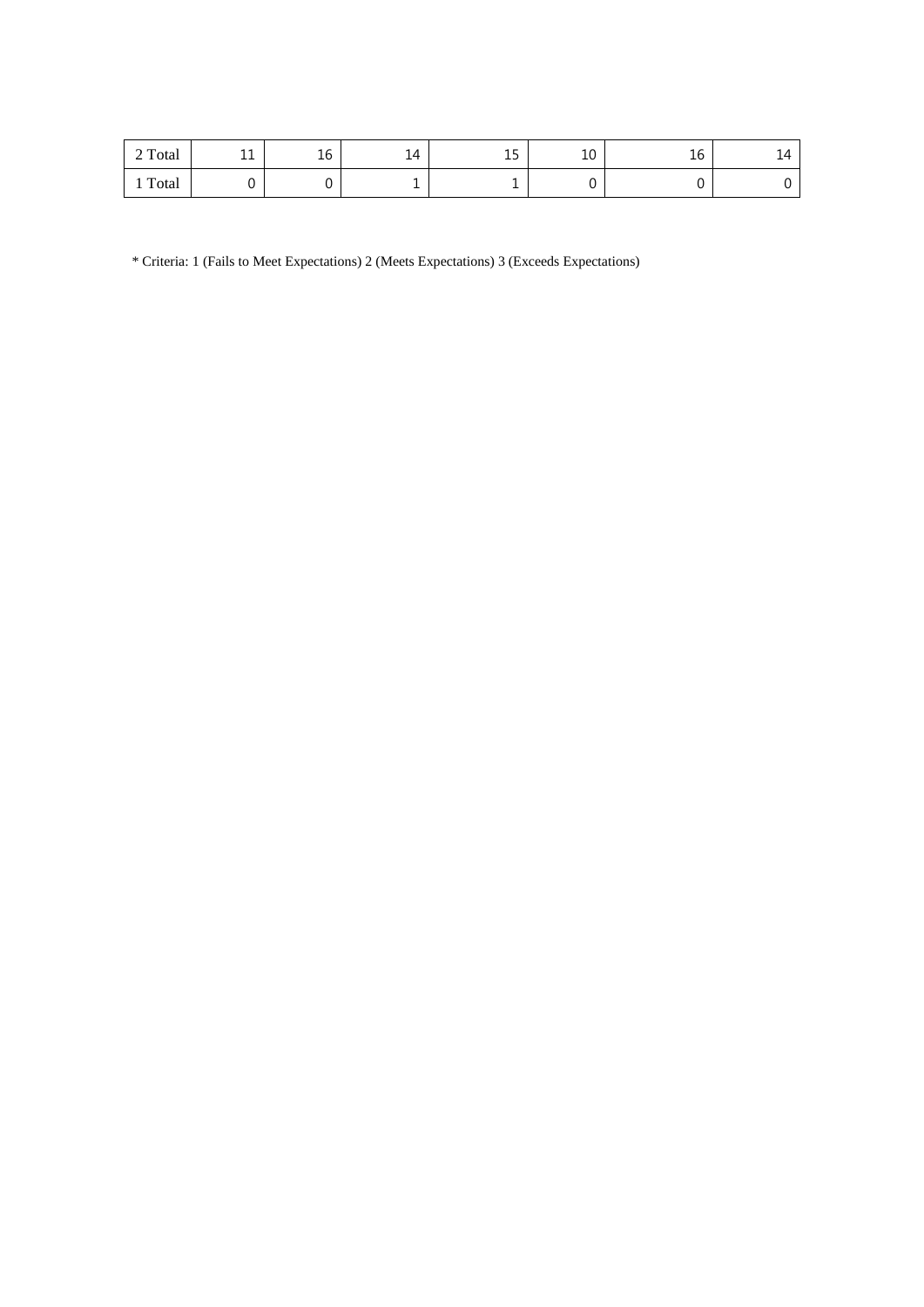| 2 Total | 11<br><b>++</b> | $\sim$<br>Τp | 14 | $\sim$<br>ᅩ | 10<br>τn | $\sim$<br>Τp | ∸<br>. . |
|---------|-----------------|--------------|----|-------------|----------|--------------|----------|
| Total   |                 |              | ÷  |             |          | ີ            |          |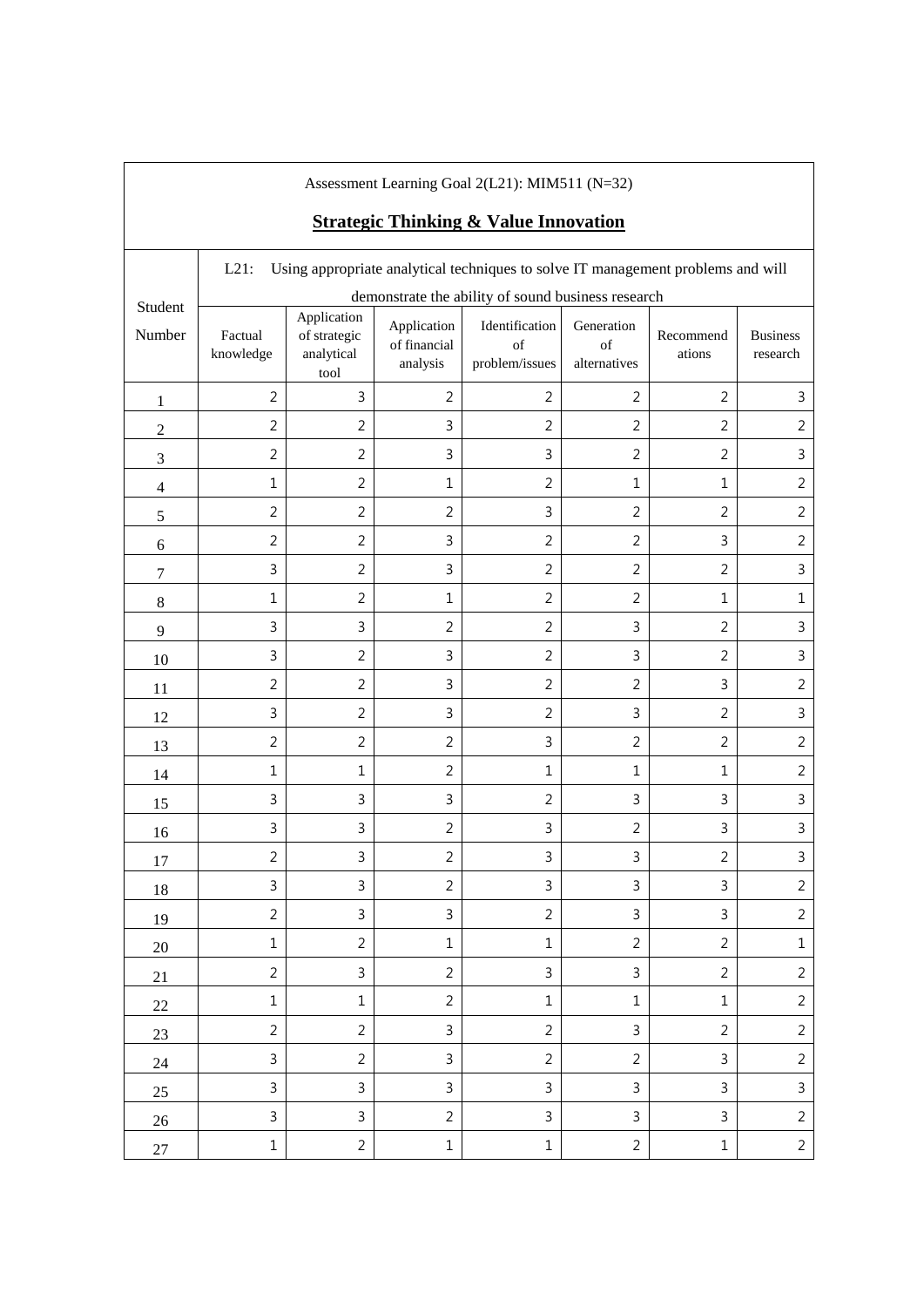|                  |                      |                                                   |                                         | Assessment Learning Goal 2(L21): MIM511 (N=32)<br><b>Strategic Thinking &amp; Value Innovation</b> |                                  |                     |                             |
|------------------|----------------------|---------------------------------------------------|-----------------------------------------|----------------------------------------------------------------------------------------------------|----------------------------------|---------------------|-----------------------------|
|                  | $L21$ :              |                                                   |                                         | Using appropriate analytical techniques to solve IT management problems and will                   |                                  |                     |                             |
| Student          |                      |                                                   |                                         | demonstrate the ability of sound business research                                                 |                                  |                     |                             |
| Number           | Factual<br>knowledge | Application<br>of strategic<br>analytical<br>tool | Application<br>of financial<br>analysis | Identification<br>$\sigma$ f<br>problem/issues                                                     | Generation<br>of<br>alternatives | Recommend<br>ations | <b>Business</b><br>research |
| $\mathbf{1}$     | $\overline{2}$       | $\mathbf{3}$                                      | $\overline{2}$                          | $\overline{2}$                                                                                     | $\overline{2}$                   | $\overline{2}$      | 3                           |
| $\boldsymbol{2}$ | $\overline{2}$       | $\overline{2}$                                    | 3                                       | $\overline{2}$                                                                                     | $\overline{2}$                   | $\overline{2}$      | $\overline{2}$              |
| $\mathfrak{Z}$   | $\overline{2}$       | $\overline{2}$                                    | 3                                       | 3                                                                                                  | $\overline{2}$                   | $\overline{2}$      | $\mathsf{3}$                |
| $\overline{4}$   | $1\,$                | $\overline{2}$                                    | $\mathbf{1}$                            | $\overline{2}$                                                                                     | $\mathbf{1}$                     | $\mathbf{1}$        | $\overline{2}$              |
| $\sqrt{5}$       | $\overline{2}$       | $\overline{2}$                                    | $\overline{2}$                          | $\mathsf{3}$                                                                                       | $\overline{2}$                   | $\overline{2}$      | $\overline{2}$              |
| 6                | $\overline{2}$       | $\overline{2}$                                    | 3                                       | $\overline{2}$                                                                                     | $\overline{2}$                   | 3                   | $\overline{2}$              |
| 7                | $\mathsf{3}$         | $\overline{2}$                                    | 3                                       | $\overline{2}$                                                                                     | $\overline{2}$                   | $\overline{2}$      | 3                           |
| $8\,$            | $\mathbf 1$          | $\overline{2}$                                    | $\mathbf{1}$                            | $\overline{2}$                                                                                     | $\overline{2}$                   | $\mathbf{1}$        | $\mathbf{1}$                |
| 9                | $\mathsf 3$          | $\mathsf{3}$                                      | $\overline{2}$                          | $\overline{2}$                                                                                     | 3                                | $\overline{2}$      | 3                           |
| 10               | $\mathbf{3}$         | $\overline{2}$                                    | 3                                       | $\overline{2}$                                                                                     | 3                                | $\overline{2}$      | 3                           |
| 11               | $\overline{2}$       | $\overline{2}$                                    | 3                                       | $\overline{2}$                                                                                     | $\overline{2}$                   | 3                   | $\overline{2}$              |
| 12               | $\mathbf{3}$         | $\overline{2}$                                    | 3                                       | $\overline{2}$                                                                                     | 3                                | $\overline{2}$      | 3                           |
| 13               | $\overline{2}$       | $\overline{2}$                                    | $\overline{2}$                          | 3                                                                                                  | $\overline{2}$                   | $\overline{2}$      | $\overline{2}$              |
| 14               | $1\,$                | $\mathbf{1}$                                      | $\overline{2}$                          | $\mathbf{1}$                                                                                       | $\mathbf{1}$                     | $\mathbf{1}$        | $\overline{2}$              |
| 15               | $\mathsf 3$          | $\mathsf{3}$                                      | 3                                       | $\overline{2}$                                                                                     | 3                                | 3                   | 3                           |
| 16               | $\mathsf 3$          | $\mathsf{3}$                                      | $\overline{2}$                          | 3                                                                                                  | $\overline{2}$                   | 3                   | 3                           |
| 17               | $\overline{2}$       | 3                                                 | 2                                       | 3                                                                                                  | 3                                | $\overline{2}$      | 3                           |
| 18               | $\mathsf{3}$         | $\mathsf{3}$                                      | $\overline{2}$                          | 3                                                                                                  | $\mathsf{3}$                     | $\mathbf{3}$        | $\overline{2}$              |
| 19               | $\overline{2}$       | $\mathsf{3}$                                      | $\mathbf{3}$                            | $\overline{2}$                                                                                     | $\mathsf{3}$                     | $\mathsf{3}$        | $\overline{2}$              |
| 20               | $\mathbf 1$          | $\overline{2}$                                    | $1\,$                                   | $1\,$                                                                                              | $\overline{2}$                   | $\overline{2}$      | $1\,$                       |
| 21               | $\overline{2}$       | $\mathbf{3}$                                      | $\overline{2}$                          | $\mathsf{3}$                                                                                       | $\mathsf{3}$                     | $\overline{2}$      | $\overline{c}$              |
| 22               | $\mathbf 1$          | $\mathbf 1$                                       | $\overline{2}$                          | $\mathbf 1$                                                                                        | $1\,$                            | $\mathbf 1$         | $\overline{2}$              |
| 23               | $\overline{2}$       | $\overline{2}$                                    | $\mathsf{3}$                            | $\overline{2}$                                                                                     | $\mathsf{3}$                     | $\overline{2}$      | $\overline{2}$              |
| 24               | $\mathsf 3$          | $\overline{2}$                                    | $\mathsf{3}$                            | $\overline{2}$                                                                                     | $\overline{2}$                   | $\mathsf{3}$        | $\overline{2}$              |
| 25               | $\mathsf 3$          | $\mathsf{3}$                                      | $\mathsf{3}$                            | 3                                                                                                  | 3                                | $\mathbf{3}$        | $\mathsf 3$                 |
| 26               | $\mathsf{3}$         | $\mathsf{3}$                                      | $\overline{2}$                          | 3                                                                                                  | 3                                | 3                   | $\overline{2}$              |
| $27\,$           | $\mathbf 1$          | $\overline{2}$                                    | $1\,$                                   | $\mathbf 1$                                                                                        | $\overline{2}$                   | $1\,$               | $\overline{2}$              |

 $\mathbf{I}$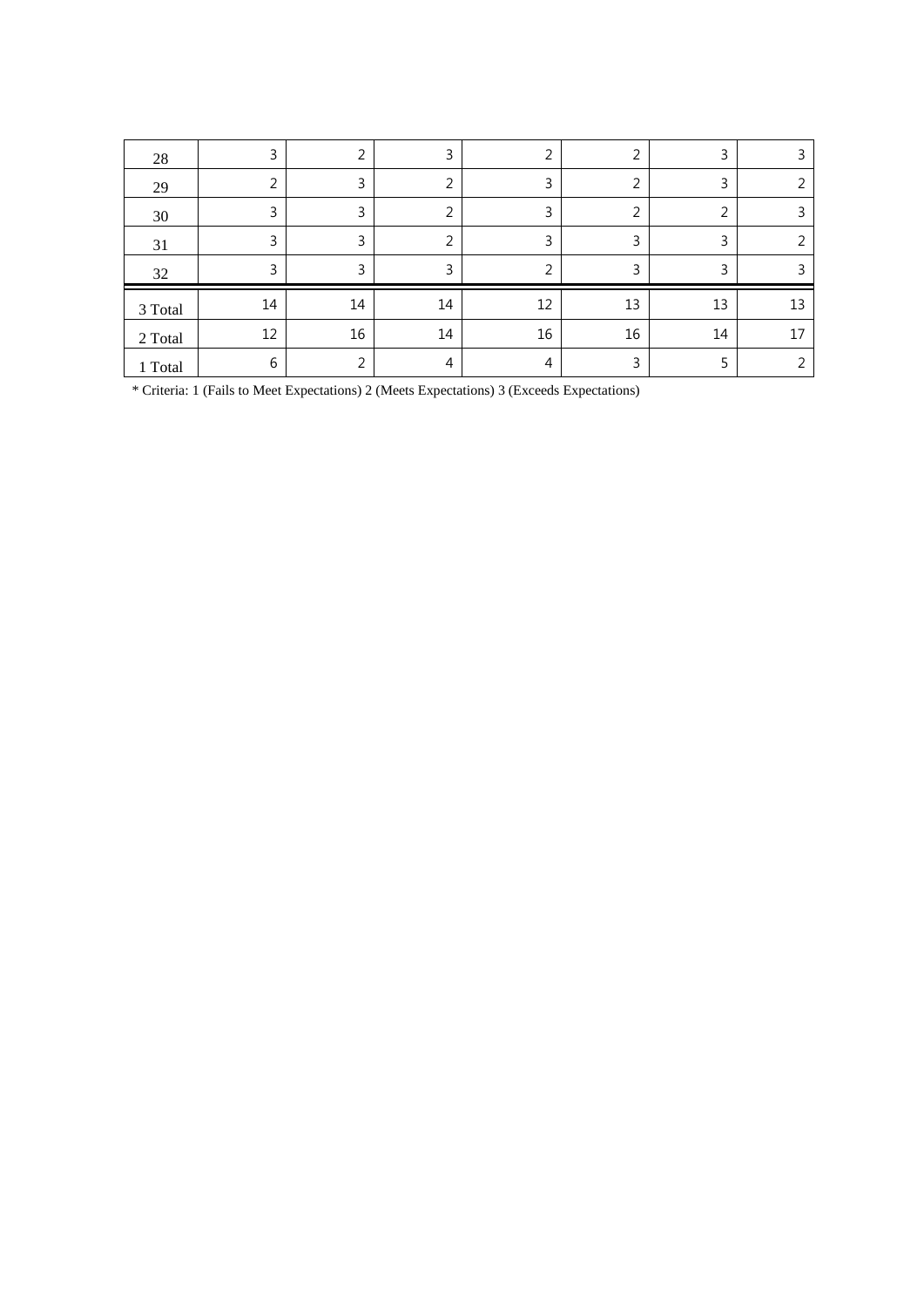| 28      | 3  | 2  | 3  | 2  | 2      | 3  |    |
|---------|----|----|----|----|--------|----|----|
| 29      | 2  | 3  | ∍  | 3  | ∍      | 3  |    |
| 30      | 3  | 3  | ∍  | 3  | っ<br>∠ | 2  |    |
| 31      | 3  | 3  | ⌒  | 3  | 3      | 3  |    |
| 32      | 3  | 3  | 3  | 2  | 3      | 3  |    |
| 3 Total | 14 | 14 | 14 | 12 | 13     | 13 | 13 |
| 2 Total | 12 | 16 | 14 | 16 | 16     | 14 | 17 |
| 1 Total | 6  | ∍  | 4  | 4  | 3      |    |    |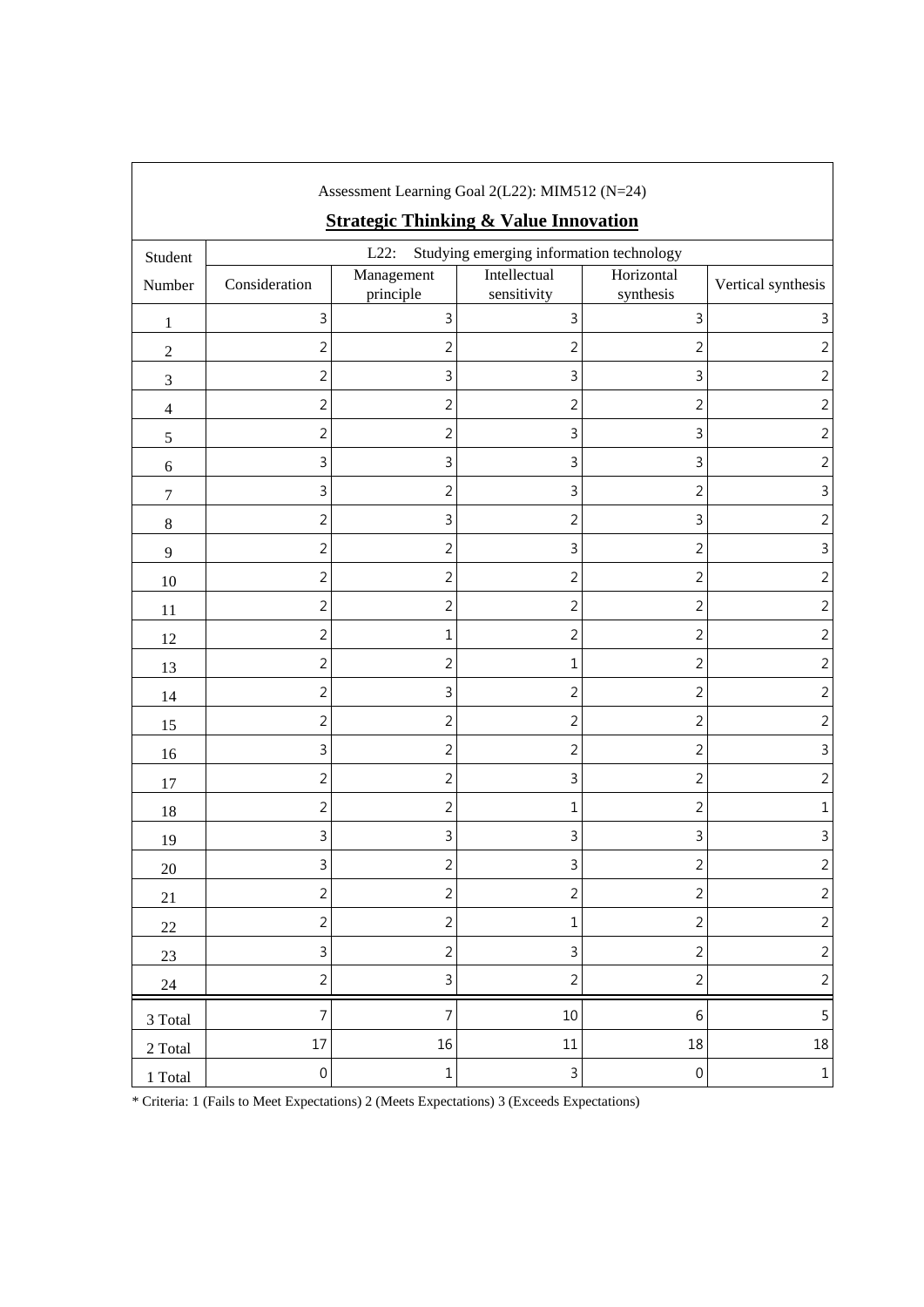|                  |                  |                         | Assessment Learning Goal 2(L22): MIM512 (N=24)<br><b>Strategic Thinking &amp; Value Innovation</b> |                         |                    |
|------------------|------------------|-------------------------|----------------------------------------------------------------------------------------------------|-------------------------|--------------------|
| Student          |                  | $L22$ :                 | Studying emerging information technology                                                           |                         |                    |
| Number           | Consideration    | Management<br>principle | Intellectual<br>sensitivity                                                                        | Horizontal<br>synthesis | Vertical synthesis |
| $\mathbf{1}$     | 3                | 3                       | 3                                                                                                  | 3                       | 3                  |
| $\sqrt{2}$       | $\overline{2}$   | $\overline{2}$          | 2                                                                                                  | $\overline{c}$          | 2                  |
| $\mathfrak{Z}$   | $\sqrt{2}$       | 3                       | 3                                                                                                  | 3                       | 2                  |
| $\overline{4}$   | $\sqrt{2}$       | $\overline{2}$          | $\overline{2}$                                                                                     | $\overline{2}$          | 2                  |
| $\sqrt{5}$       | $\overline{2}$   | $\overline{2}$          | 3                                                                                                  | 3                       | 2                  |
| $\boldsymbol{6}$ | 3                | 3                       | 3                                                                                                  | 3                       | 2                  |
| $\boldsymbol{7}$ | 3                | $\overline{2}$          | 3                                                                                                  | 2                       | 3                  |
| $\,8\,$          | $\overline{2}$   | 3                       | $\overline{2}$                                                                                     | 3                       | $\overline{c}$     |
| $\overline{9}$   | $\overline{2}$   | $\overline{2}$          | 3                                                                                                  | $\overline{c}$          | 3                  |
| 10               | $\sqrt{2}$       | $\overline{c}$          | 2                                                                                                  | $\overline{c}$          | 2                  |
| 11               | $\overline{2}$   | $\overline{2}$          | $\overline{2}$                                                                                     | $\overline{c}$          | $\overline{2}$     |
| 12               | $\overline{2}$   | 1                       | 2                                                                                                  | 2                       | $\overline{2}$     |
| 13               | $\overline{c}$   | $\overline{2}$          | 1                                                                                                  | $\overline{c}$          | $\overline{2}$     |
| 14               | $\sqrt{2}$       | 3                       | 2                                                                                                  | $\overline{2}$          | 2                  |
| 15               | $\overline{c}$   | $\overline{2}$          | 2                                                                                                  | $\overline{c}$          | 2                  |
| 16               | 3                | $\overline{2}$          | 2                                                                                                  | $\overline{2}$          | 3                  |
| 17               | $\overline{2}$   | $\overline{2}$          | 3                                                                                                  | $\overline{2}$          | 2                  |
| 18               | $\overline{2}$   | $\overline{2}$          | 1                                                                                                  | 2                       | $\mathbf 1$        |
| 19               | 3                | 3                       | 3                                                                                                  | 3                       | 3                  |
| $20\,$           | 3                | $\overline{c}$          | 3                                                                                                  | $\overline{c}$          | $\sqrt{2}$         |
| 21               | $\overline{2}$   | $\overline{2}$          | $\overline{2}$                                                                                     | $\overline{c}$          | $\sqrt{2}$         |
| $22\,$           | $\overline{2}$   | $\overline{2}$          | 1                                                                                                  | $\overline{2}$          | $\overline{c}$     |
| $23\,$           | 3                | $\overline{2}$          | 3                                                                                                  | $\overline{c}$          | $\overline{c}$     |
| $24\,$           | $\overline{c}$   | 3                       | $\overline{c}$                                                                                     | $\overline{c}$          | $\overline{c}$     |
| 3 Total          | $\overline{7}$   | 7                       | 10                                                                                                 | $\,6$                   | 5                  |
| 2 Total          | $17\,$           | 16                      | $11\,$                                                                                             | 18                      | 18                 |
| 1 Total          | $\boldsymbol{0}$ | $\mathbf 1$             | 3                                                                                                  | $\boldsymbol{0}$        | $\,1\,$            |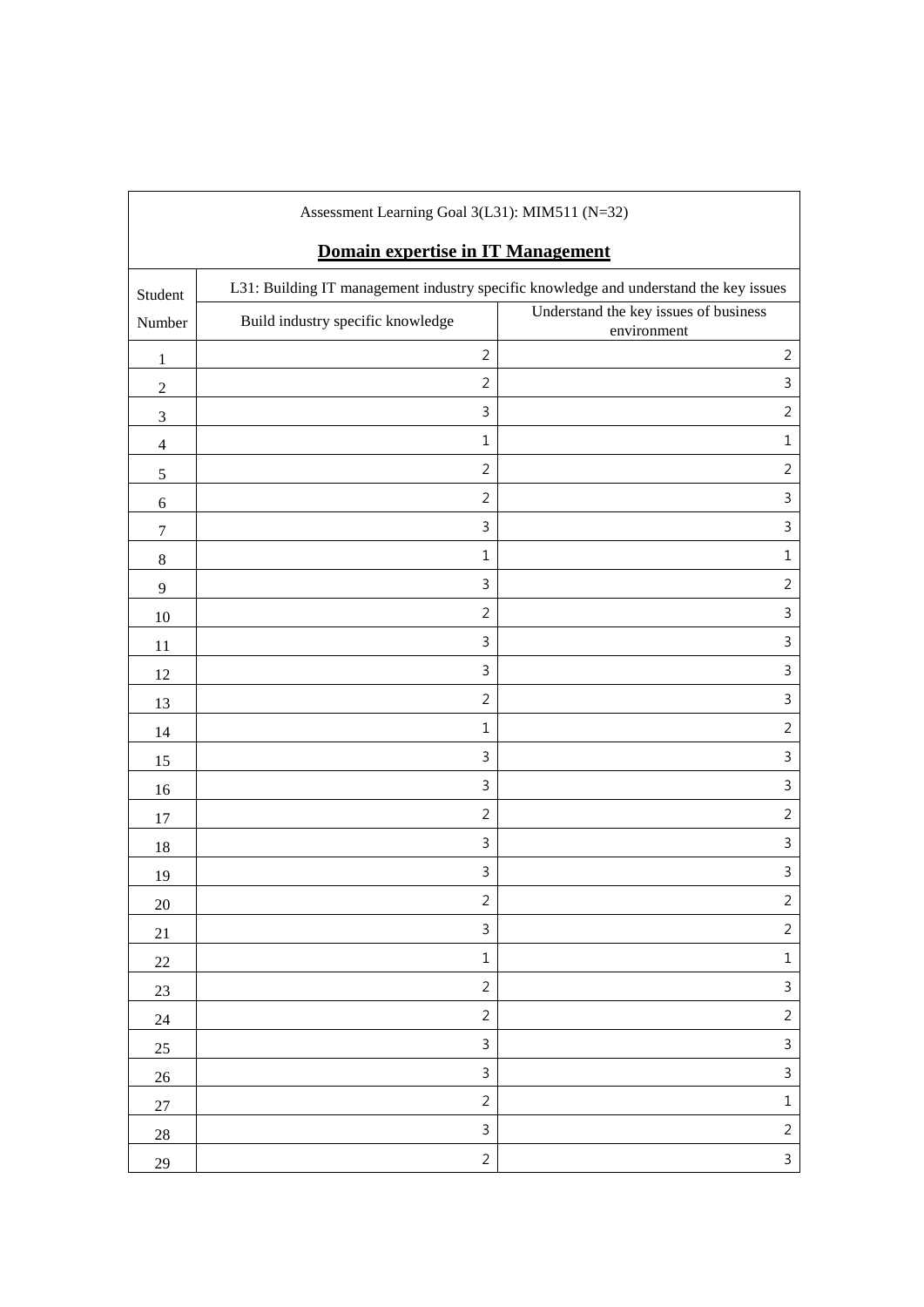|                             | Assessment Learning Goal 3(L31): MIM511 (N=32) |                                                                                       |
|-----------------------------|------------------------------------------------|---------------------------------------------------------------------------------------|
|                             | Domain expertise in IT Management              |                                                                                       |
| Student                     |                                                | L31: Building IT management industry specific knowledge and understand the key issues |
| Number                      | Build industry specific knowledge              | Understand the key issues of business<br>environment                                  |
| $\mathbf{1}$                | $\overline{2}$                                 | $\overline{2}$                                                                        |
| $\sqrt{2}$                  | $\overline{2}$                                 | 3                                                                                     |
| $\ensuremath{\mathfrak{Z}}$ | 3                                              | $\overline{2}$                                                                        |
| $\overline{4}$              | $\mathbf{1}$                                   | $\mathbf 1$                                                                           |
| $\mathfrak s$               | $\overline{2}$                                 | $\overline{2}$                                                                        |
| $\sqrt{6}$                  | $\overline{2}$                                 | 3                                                                                     |
| $\tau$                      | 3                                              | $\mathsf 3$                                                                           |
| $\,8\,$                     | $\mathbf{1}$                                   | $\mathbf 1$                                                                           |
| $\overline{9}$              | 3                                              | $\overline{2}$                                                                        |
| $10\,$                      | $\overline{2}$                                 | 3                                                                                     |
| 11                          | 3                                              | 3                                                                                     |
| 12                          | 3                                              | $\mathsf 3$                                                                           |
| 13                          | $\overline{2}$                                 | $\mathbf{3}$                                                                          |
| 14                          | $\mathbf{1}$                                   | $\overline{2}$                                                                        |
| 15                          | 3                                              | $\mathsf 3$                                                                           |
| 16                          | 3                                              | 3                                                                                     |
| 17                          | $\overline{2}$                                 | $\overline{2}$                                                                        |
| 18                          | 3                                              | 3                                                                                     |
| 19                          | 3                                              | 3                                                                                     |
| $20\,$                      | $\overline{c}$                                 | $\overline{c}$                                                                        |
| 21                          | $\mathbf{3}$                                   | $\overline{2}$                                                                        |
| $22\,$                      | $\mathbf{1}$                                   | $\mathbf 1$                                                                           |
| 23                          | $\overline{2}$                                 | $\mathsf{3}$                                                                          |
| 24                          | $\overline{2}$                                 | $\overline{2}$                                                                        |
| 25                          | 3                                              | $\mathsf{3}$                                                                          |
| $26\,$                      | 3                                              | $\mathsf{3}$                                                                          |
| 27                          | $\overline{2}$                                 | $\mathbf 1$                                                                           |
| 28                          | 3                                              | $\overline{2}$                                                                        |
| 29                          | $\overline{c}$                                 | $\mathfrak{Z}$                                                                        |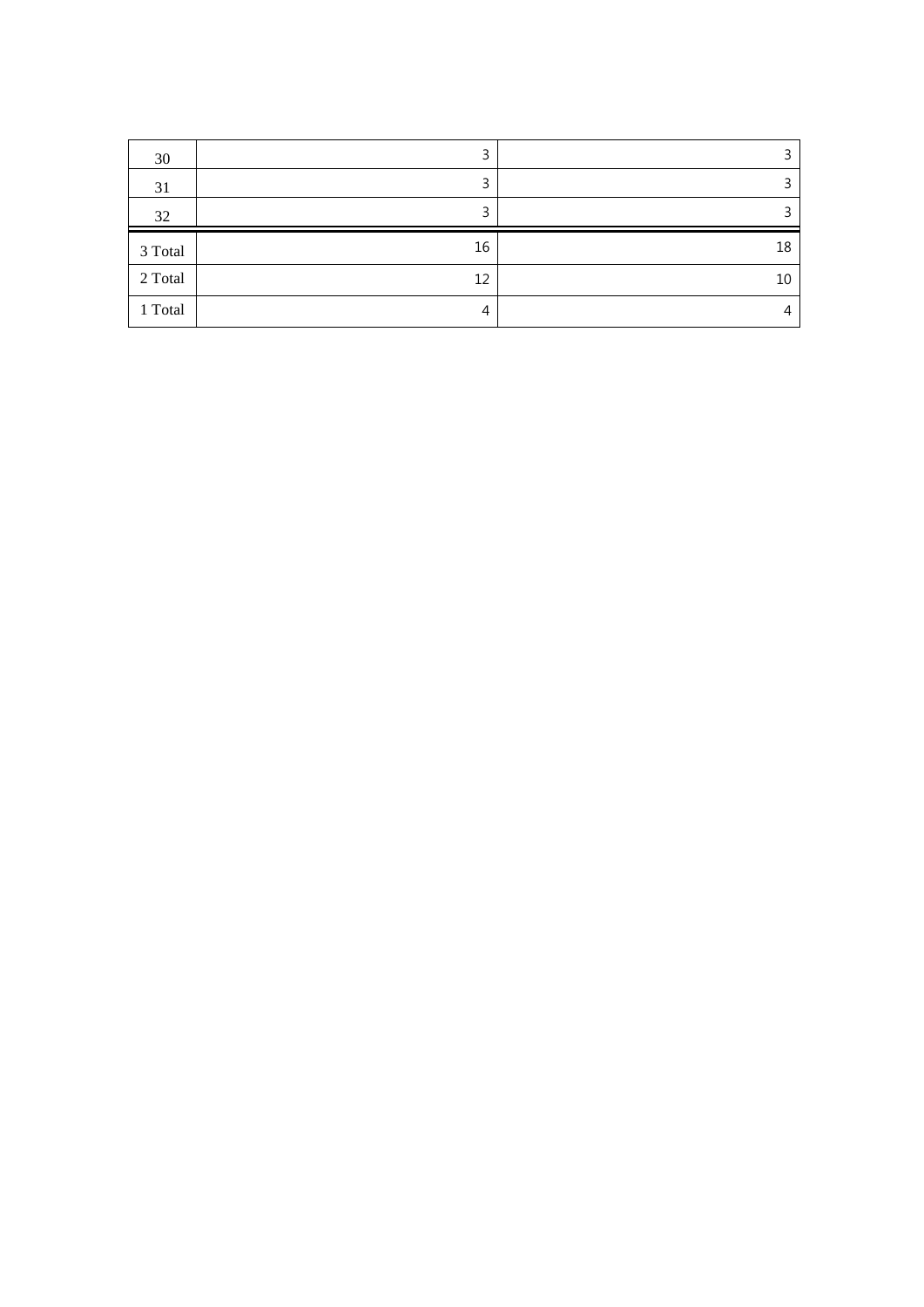| 30      | 3  | っ  |
|---------|----|----|
| 31      | 3  |    |
| 32      |    |    |
|         |    |    |
| 3 Total | 16 | 18 |
| 2 Total | 12 | 10 |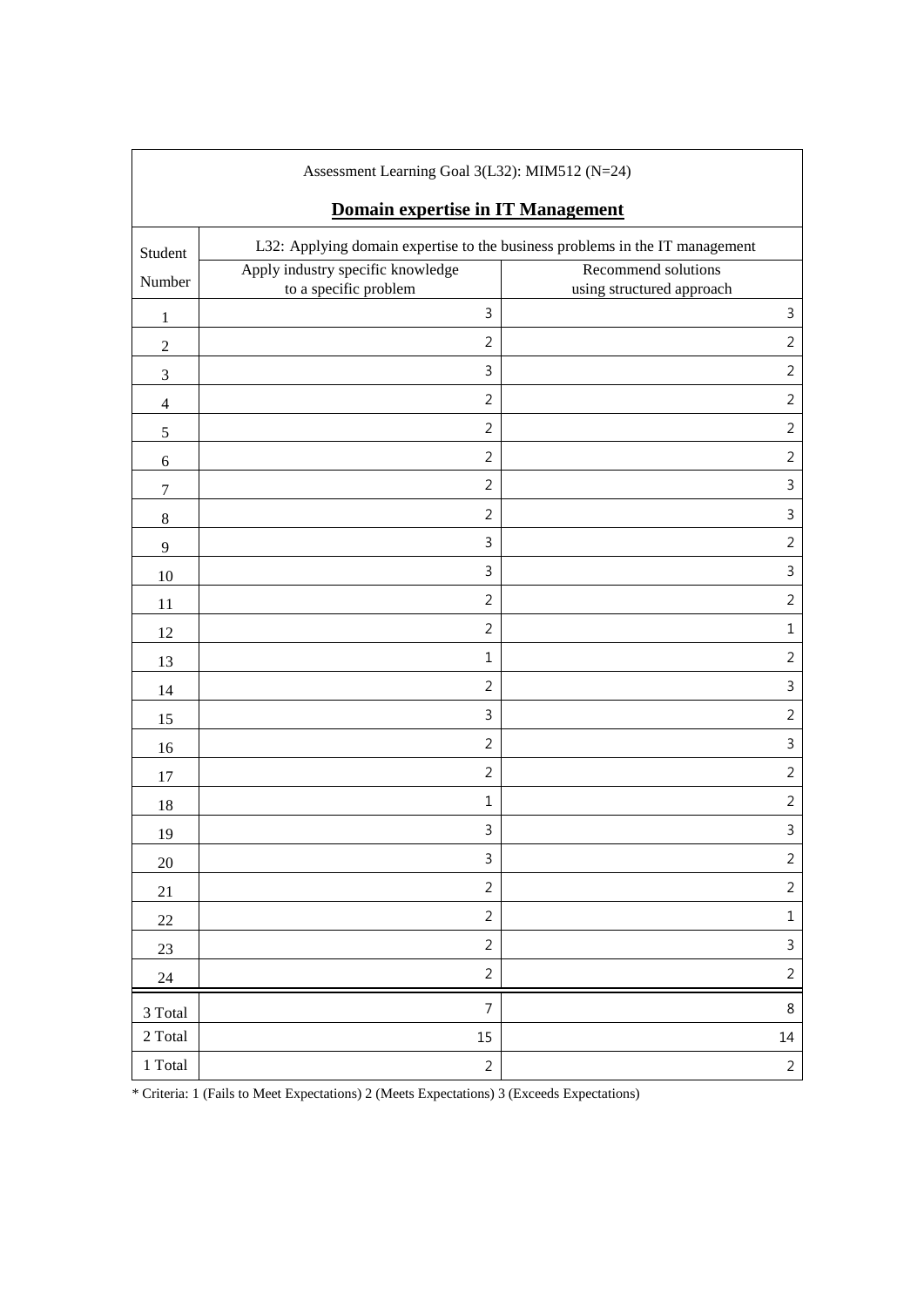| Assessment Learning Goal 3(L32): MIM512 (N=24) |                                                                              |                                                  |  |  |  |  |
|------------------------------------------------|------------------------------------------------------------------------------|--------------------------------------------------|--|--|--|--|
|                                                | Domain expertise in IT Management                                            |                                                  |  |  |  |  |
| Student                                        | L32: Applying domain expertise to the business problems in the IT management |                                                  |  |  |  |  |
| Number                                         | Apply industry specific knowledge<br>to a specific problem                   | Recommend solutions<br>using structured approach |  |  |  |  |
| $\mathbf{1}$                                   | $\mathbf{3}$                                                                 | $\mathsf 3$                                      |  |  |  |  |
| $\overline{2}$                                 | $\overline{2}$                                                               | $\overline{2}$                                   |  |  |  |  |
| 3                                              | 3                                                                            | $\overline{2}$                                   |  |  |  |  |
| $\overline{4}$                                 | $\overline{2}$                                                               | $\overline{2}$                                   |  |  |  |  |
| $\mathfrak s$                                  | $\overline{2}$                                                               | $\overline{2}$                                   |  |  |  |  |
| 6                                              | $\overline{2}$                                                               | $\overline{2}$                                   |  |  |  |  |
| $\tau$                                         | $\overline{2}$                                                               | $\mathsf 3$                                      |  |  |  |  |
| $\,8\,$                                        | $\overline{2}$                                                               | $\mathbf{3}$                                     |  |  |  |  |
| $\mathbf{9}$                                   | $\mathbf{3}$                                                                 | $\overline{2}$                                   |  |  |  |  |
| 10                                             | $\mathsf{3}$                                                                 | $\overline{3}$                                   |  |  |  |  |
| 11                                             | $\overline{2}$                                                               | $\overline{2}$                                   |  |  |  |  |
| 12                                             | $\overline{2}$                                                               | $\mathbf{1}$                                     |  |  |  |  |
| 13                                             | $\mathbf{1}$                                                                 | $\overline{2}$                                   |  |  |  |  |
| 14                                             | $\overline{2}$                                                               | $\mathbf{3}$                                     |  |  |  |  |
| 15                                             | 3                                                                            | $\overline{2}$                                   |  |  |  |  |
| 16                                             | $\overline{2}$                                                               | $\overline{3}$                                   |  |  |  |  |
| 17                                             | $\overline{2}$                                                               | $\overline{2}$                                   |  |  |  |  |
| 18                                             | $1\,$                                                                        | $\overline{2}$                                   |  |  |  |  |
| 19                                             | $\mathsf 3$                                                                  | $\mathsf 3$                                      |  |  |  |  |
| 20                                             | $\mathsf 3$                                                                  | $\sqrt{2}$                                       |  |  |  |  |
| 21                                             | $\overline{2}$                                                               | $\overline{2}$                                   |  |  |  |  |
| $22\,$                                         | $\overline{2}$                                                               | $\mathbf 1$                                      |  |  |  |  |
| 23                                             | $\overline{2}$                                                               | $\mathsf{3}$                                     |  |  |  |  |
| 24                                             | $\overline{2}$                                                               | $\overline{2}$                                   |  |  |  |  |
| 3 Total                                        | $\overline{7}$                                                               | $\,8\,$                                          |  |  |  |  |
| 2 Total                                        | 15                                                                           | $14\,$                                           |  |  |  |  |
| 1 Total                                        | $\overline{2}$                                                               | $\overline{2}$                                   |  |  |  |  |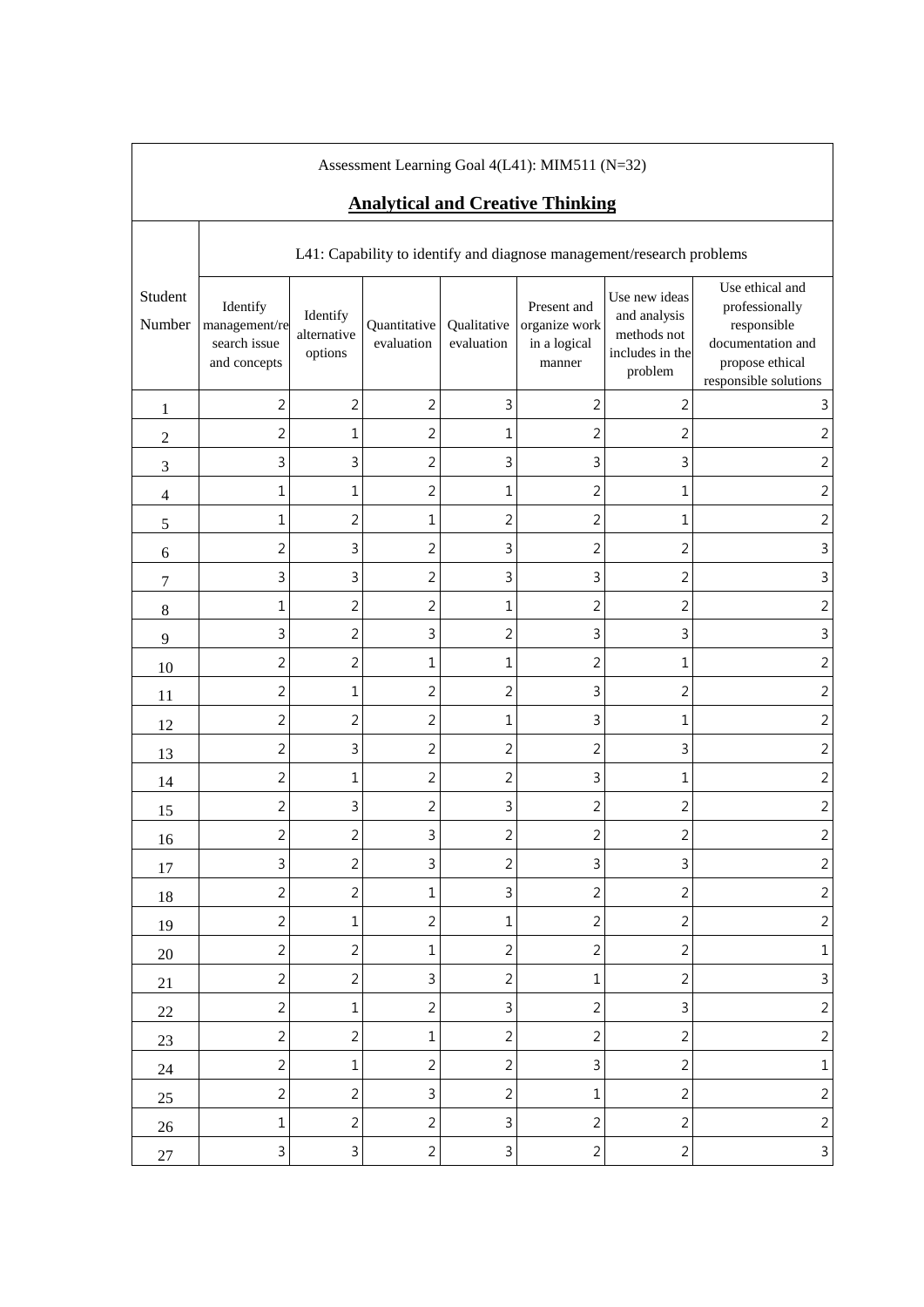| Assessment Learning Goal 4(L41): MIM511 (N=32)<br><b>Analytical and Creative Thinking</b> |                                                                       |                                    |                            |                           |                                                        |                                                                            |                                                                                                                   |  |  |
|-------------------------------------------------------------------------------------------|-----------------------------------------------------------------------|------------------------------------|----------------------------|---------------------------|--------------------------------------------------------|----------------------------------------------------------------------------|-------------------------------------------------------------------------------------------------------------------|--|--|
|                                                                                           | L41: Capability to identify and diagnose management/research problems |                                    |                            |                           |                                                        |                                                                            |                                                                                                                   |  |  |
| Student<br>Number                                                                         | Identify<br>management/re<br>search issue<br>and concepts             | Identify<br>alternative<br>options | Quantitative<br>evaluation | Qualitative<br>evaluation | Present and<br>organize work<br>in a logical<br>manner | Use new ideas<br>and analysis<br>methods not<br>includes in the<br>problem | Use ethical and<br>professionally<br>responsible<br>documentation and<br>propose ethical<br>responsible solutions |  |  |
| 1                                                                                         | $\overline{2}$                                                        | $\overline{2}$                     | $\sqrt{2}$                 | 3                         | $\overline{c}$                                         | $\overline{c}$                                                             | 3                                                                                                                 |  |  |
| $\overline{2}$                                                                            | $\overline{2}$                                                        | $\mathbf{1}$                       | $\overline{2}$             | $\mathbf 1$               | 2                                                      | $\overline{2}$                                                             | $\overline{2}$                                                                                                    |  |  |
| 3                                                                                         | 3                                                                     | 3                                  | $\overline{2}$             | 3                         | 3                                                      | 3                                                                          | $\overline{2}$                                                                                                    |  |  |
| $\overline{\mathcal{L}}$                                                                  | $\mathbf 1$                                                           | $\mathbf{1}$                       | $\overline{2}$             | $\mathbf 1$               | $\overline{c}$                                         | 1                                                                          | $\overline{2}$                                                                                                    |  |  |
| 5                                                                                         | 1                                                                     | $\overline{2}$                     | 1                          | $\overline{2}$            | $\overline{2}$                                         | 1                                                                          | $\overline{2}$                                                                                                    |  |  |
| $\sqrt{6}$                                                                                | $\overline{2}$                                                        | 3                                  | $\overline{2}$             | 3                         | $\overline{c}$                                         | $\overline{c}$                                                             | $\mathsf 3$                                                                                                       |  |  |
| 7                                                                                         | 3                                                                     | 3                                  | $\overline{2}$             | 3                         | 3                                                      | $\overline{2}$                                                             | $\mathbf{3}$                                                                                                      |  |  |
| 8                                                                                         | $\mathbf{1}$                                                          | $\overline{2}$                     | $\overline{2}$             | $\mathbf 1$               | 2                                                      | $\overline{2}$                                                             | $\overline{c}$                                                                                                    |  |  |
| 9                                                                                         | 3                                                                     | $\overline{2}$                     | 3                          | $\overline{c}$            | 3                                                      | 3                                                                          | $\mathbf{3}$                                                                                                      |  |  |
| 10                                                                                        | $\overline{2}$                                                        | $\overline{c}$                     | $\mathbf{1}$               | $\mathbf 1$               | $\overline{2}$                                         | 1                                                                          | $\sqrt{2}$                                                                                                        |  |  |
| 11                                                                                        | $\overline{2}$                                                        | $\mathbf 1$                        | $\overline{2}$             | 2                         | 3                                                      | $\overline{2}$                                                             | $\overline{2}$                                                                                                    |  |  |
| 12                                                                                        | $\overline{2}$                                                        | $\overline{2}$                     | $\overline{2}$             | 1                         | 3                                                      | 1                                                                          | $\overline{2}$                                                                                                    |  |  |
| 13                                                                                        | $\overline{2}$                                                        | 3                                  | $\overline{2}$             | 2                         | 2                                                      | 3                                                                          | $\overline{2}$                                                                                                    |  |  |
| 14                                                                                        | $\overline{2}$                                                        | $\mathbf{1}$                       | $\overline{2}$             | $\overline{c}$            | 3                                                      | 1                                                                          | $\overline{c}$                                                                                                    |  |  |
| 15                                                                                        | $\overline{2}$                                                        | 3                                  | $\overline{2}$             | 3                         | $\overline{c}$                                         | $\overline{c}$                                                             | $\sqrt{2}$                                                                                                        |  |  |
| 16                                                                                        | $\overline{c}$                                                        | $\overline{2}$                     | 3                          | $\overline{2}$            | $\overline{c}$                                         | $\overline{c}$                                                             | $\overline{2}$                                                                                                    |  |  |
| 17                                                                                        | $\mathsf{3}$                                                          | $\overline{2}$                     | 3                          | $\overline{2}$            | $\mathsf{3}$                                           | 3                                                                          | $\overline{2}$                                                                                                    |  |  |
| 18                                                                                        | $\overline{2}$                                                        | $\sqrt{2}$                         | $\mathbf 1$                | 3                         | $\overline{2}$                                         | $\sqrt{2}$                                                                 | $\overline{2}$                                                                                                    |  |  |
| 19                                                                                        | $\overline{2}$                                                        | $1\,$                              | $\overline{2}$             | $1\,$                     | $\overline{2}$                                         | $\overline{2}$                                                             | $\overline{2}$                                                                                                    |  |  |
| 20                                                                                        | $\overline{2}$                                                        | $\overline{2}$                     | $\mathbf{1}$               | $\overline{2}$            | $\overline{2}$                                         | $\sqrt{2}$                                                                 | $\mathbf 1$                                                                                                       |  |  |
| 21                                                                                        | $\overline{2}$                                                        | $\overline{2}$                     | 3                          | $\overline{2}$            | $\mathbf 1$                                            | $\sqrt{2}$                                                                 | $\mathsf{3}$                                                                                                      |  |  |
| 22                                                                                        | $\overline{2}$                                                        | $\mathbf 1$                        | $\overline{2}$             | 3                         | $\overline{2}$                                         | 3                                                                          | $\overline{2}$                                                                                                    |  |  |
| 23                                                                                        | $\overline{2}$                                                        | $\sqrt{2}$                         | $\mathbf{1}$               | $\overline{2}$            | $\overline{2}$                                         | $\overline{2}$                                                             | $\overline{2}$                                                                                                    |  |  |
| 24                                                                                        | $\overline{2}$                                                        | $\mathbf 1$                        | $\overline{2}$             | $\overline{2}$            | 3                                                      | $\overline{2}$                                                             | $\mathbf 1$                                                                                                       |  |  |
| 25                                                                                        | $\overline{2}$                                                        | $\overline{2}$                     | $\mathsf{3}$               | $\overline{2}$            | $\mathbf 1$                                            | $\sqrt{2}$                                                                 | $\overline{2}$                                                                                                    |  |  |
| 26                                                                                        | $\mathbf 1$                                                           | $\overline{2}$                     | $\overline{2}$             | 3                         | $\overline{2}$                                         | $\overline{2}$                                                             | $\overline{2}$                                                                                                    |  |  |
| $27\,$                                                                                    | $\mathbf{3}$                                                          | $\mathsf 3$                        | $\overline{2}$             | 3                         | $\overline{2}$                                         | $\sqrt{2}$                                                                 | $\mathsf 3$                                                                                                       |  |  |